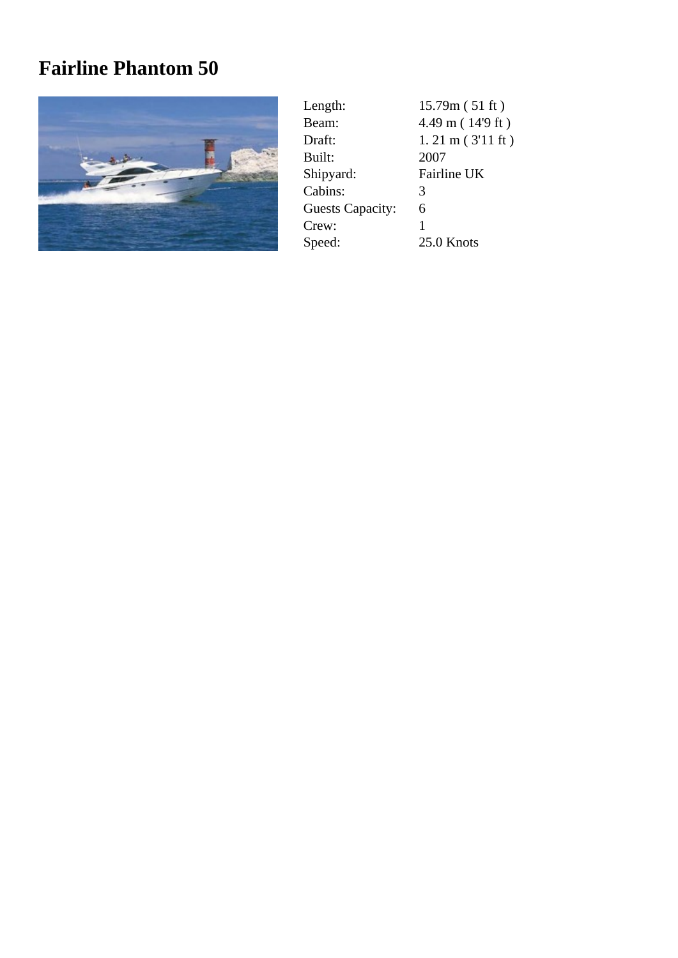## **Fairline Phantom 50**



| Length:                 | 15.79m(51 ft)              |
|-------------------------|----------------------------|
| Beam:                   | 4.49 m (14'9 ft)           |
| Draft:                  | $1.21 \text{ m}$ (3'11 ft) |
| Built:                  | 2007                       |
| Shipyard:               | Fairline UK                |
| Cabins:                 | 3                          |
| <b>Guests Capacity:</b> | 6                          |
| Crew:                   | 1                          |
| Speed:                  | 25.0 Knots                 |